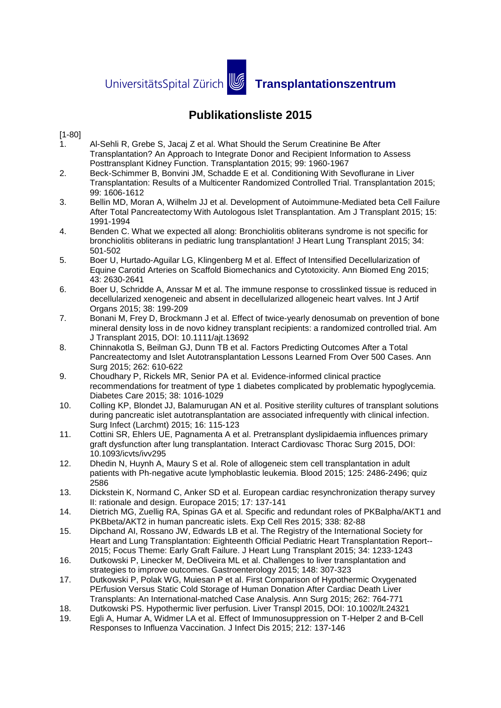UniversitätsSpital Zürich **19 Transplantationszentrum** 

## **Publikationsliste 2015**

## [1-80]

- 1. Al-Sehli R, Grebe S, Jacaj Z et al. What Should the Serum Creatinine Be After Transplantation? An Approach to Integrate Donor and Recipient Information to Assess Posttransplant Kidney Function. Transplantation 2015; 99: 1960-1967
- 2. Beck-Schimmer B, Bonvini JM, Schadde E et al. Conditioning With Sevoflurane in Liver Transplantation: Results of a Multicenter Randomized Controlled Trial. Transplantation 2015; 99: 1606-1612
- 3. Bellin MD, Moran A, Wilhelm JJ et al. Development of Autoimmune-Mediated beta Cell Failure After Total Pancreatectomy With Autologous Islet Transplantation. Am J Transplant 2015; 15: 1991-1994
- 4. Benden C. What we expected all along: Bronchiolitis obliterans syndrome is not specific for bronchiolitis obliterans in pediatric lung transplantation! J Heart Lung Transplant 2015; 34: 501-502
- 5. Boer U, Hurtado-Aguilar LG, Klingenberg M et al. Effect of Intensified Decellularization of Equine Carotid Arteries on Scaffold Biomechanics and Cytotoxicity. Ann Biomed Eng 2015; 43: 2630-2641
- 6. Boer U, Schridde A, Anssar M et al. The immune response to crosslinked tissue is reduced in decellularized xenogeneic and absent in decellularized allogeneic heart valves. Int J Artif Organs 2015; 38: 199-209
- 7. Bonani M, Frey D, Brockmann J et al. Effect of twice-yearly denosumab on prevention of bone mineral density loss in de novo kidney transplant recipients: a randomized controlled trial. Am J Transplant 2015, DOI: 10.1111/ajt.13692
- 8. Chinnakotla S, Beilman GJ, Dunn TB et al. Factors Predicting Outcomes After a Total Pancreatectomy and Islet Autotransplantation Lessons Learned From Over 500 Cases. Ann Surg 2015; 262: 610-622
- 9. Choudhary P, Rickels MR, Senior PA et al. Evidence-informed clinical practice recommendations for treatment of type 1 diabetes complicated by problematic hypoglycemia. Diabetes Care 2015; 38: 1016-1029
- 10. Colling KP, Blondet JJ, Balamurugan AN et al. Positive sterility cultures of transplant solutions during pancreatic islet autotransplantation are associated infrequently with clinical infection. Surg Infect (Larchmt) 2015; 16: 115-123
- 11. Cottini SR, Ehlers UE, Pagnamenta A et al. Pretransplant dyslipidaemia influences primary graft dysfunction after lung transplantation. Interact Cardiovasc Thorac Surg 2015, DOI: 10.1093/icvts/ivv295
- 12. Dhedin N, Huynh A, Maury S et al. Role of allogeneic stem cell transplantation in adult patients with Ph-negative acute lymphoblastic leukemia. Blood 2015; 125: 2486-2496; quiz 2586
- 13. Dickstein K, Normand C, Anker SD et al. European cardiac resynchronization therapy survey II: rationale and design. Europace 2015; 17: 137-141
- 14. Dietrich MG, Zuellig RA, Spinas GA et al. Specific and redundant roles of PKBalpha/AKT1 and PKBbeta/AKT2 in human pancreatic islets. Exp Cell Res 2015; 338: 82-88
- 15. Dipchand AI, Rossano JW, Edwards LB et al. The Registry of the International Society for Heart and Lung Transplantation: Eighteenth Official Pediatric Heart Transplantation Report-- 2015; Focus Theme: Early Graft Failure. J Heart Lung Transplant 2015; 34: 1233-1243
- 16. Dutkowski P, Linecker M, DeOliveira ML et al. Challenges to liver transplantation and strategies to improve outcomes. Gastroenterology 2015; 148: 307-323
- 17. Dutkowski P, Polak WG, Muiesan P et al. First Comparison of Hypothermic Oxygenated PErfusion Versus Static Cold Storage of Human Donation After Cardiac Death Liver Transplants: An International-matched Case Analysis. Ann Surg 2015; 262: 764-771
- 18. Dutkowski PS. Hypothermic liver perfusion. Liver Transpl 2015, DOI: 10.1002/lt.24321
- 19. Egli A, Humar A, Widmer LA et al. Effect of Immunosuppression on T-Helper 2 and B-Cell Responses to Influenza Vaccination. J Infect Dis 2015; 212: 137-146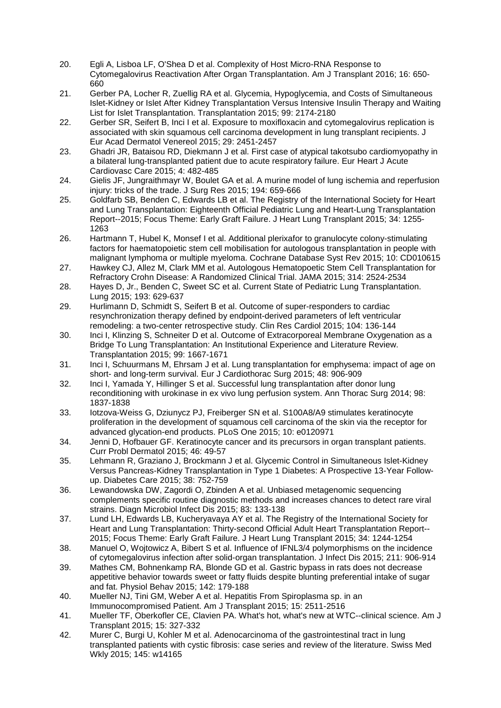- 20. Egli A, Lisboa LF, O'Shea D et al. Complexity of Host Micro-RNA Response to Cytomegalovirus Reactivation After Organ Transplantation. Am J Transplant 2016; 16: 650- 660
- 21. Gerber PA, Locher R, Zuellig RA et al. Glycemia, Hypoglycemia, and Costs of Simultaneous Islet-Kidney or Islet After Kidney Transplantation Versus Intensive Insulin Therapy and Waiting List for Islet Transplantation. Transplantation 2015; 99: 2174-2180
- 22. Gerber SR, Seifert B, Inci I et al. Exposure to moxifloxacin and cytomegalovirus replication is associated with skin squamous cell carcinoma development in lung transplant recipients. J Eur Acad Dermatol Venereol 2015; 29: 2451-2457
- 23. Ghadri JR, Bataisou RD, Diekmann J et al. First case of atypical takotsubo cardiomyopathy in a bilateral lung-transplanted patient due to acute respiratory failure. Eur Heart J Acute Cardiovasc Care 2015; 4: 482-485
- 24. Gielis JF, Jungraithmayr W, Boulet GA et al. A murine model of lung ischemia and reperfusion injury: tricks of the trade. J Surg Res 2015; 194: 659-666
- 25. Goldfarb SB, Benden C, Edwards LB et al. The Registry of the International Society for Heart and Lung Transplantation: Eighteenth Official Pediatric Lung and Heart-Lung Transplantation Report--2015; Focus Theme: Early Graft Failure. J Heart Lung Transplant 2015; 34: 1255- 1263
- 26. Hartmann T, Hubel K, Monsef I et al. Additional plerixafor to granulocyte colony-stimulating factors for haematopoietic stem cell mobilisation for autologous transplantation in people with malignant lymphoma or multiple myeloma. Cochrane Database Syst Rev 2015; 10: CD010615
- 27. Hawkey CJ, Allez M, Clark MM et al. Autologous Hematopoetic Stem Cell Transplantation for Refractory Crohn Disease: A Randomized Clinical Trial. JAMA 2015; 314: 2524-2534
- 28. Hayes D, Jr., Benden C, Sweet SC et al. Current State of Pediatric Lung Transplantation. Lung 2015; 193: 629-637
- 29. Hurlimann D, Schmidt S, Seifert B et al. Outcome of super-responders to cardiac resynchronization therapy defined by endpoint-derived parameters of left ventricular remodeling: a two-center retrospective study. Clin Res Cardiol 2015; 104: 136-144
- 30. Inci I, Klinzing S, Schneiter D et al. Outcome of Extracorporeal Membrane Oxygenation as a Bridge To Lung Transplantation: An Institutional Experience and Literature Review. Transplantation 2015; 99: 1667-1671
- 31. Inci I, Schuurmans M, Ehrsam J et al. Lung transplantation for emphysema: impact of age on short- and long-term survival. Eur J Cardiothorac Surg 2015; 48: 906-909
- 32. Inci I, Yamada Y, Hillinger S et al. Successful lung transplantation after donor lung reconditioning with urokinase in ex vivo lung perfusion system. Ann Thorac Surg 2014; 98: 1837-1838
- 33. Iotzova-Weiss G, Dziunycz PJ, Freiberger SN et al. S100A8/A9 stimulates keratinocyte proliferation in the development of squamous cell carcinoma of the skin via the receptor for advanced glycation-end products. PLoS One 2015; 10: e0120971
- 34. Jenni D, Hofbauer GF. Keratinocyte cancer and its precursors in organ transplant patients. Curr Probl Dermatol 2015; 46: 49-57
- 35. Lehmann R, Graziano J, Brockmann J et al. Glycemic Control in Simultaneous Islet-Kidney Versus Pancreas-Kidney Transplantation in Type 1 Diabetes: A Prospective 13-Year Followup. Diabetes Care 2015; 38: 752-759
- 36. Lewandowska DW, Zagordi O, Zbinden A et al. Unbiased metagenomic sequencing complements specific routine diagnostic methods and increases chances to detect rare viral strains. Diagn Microbiol Infect Dis 2015; 83: 133-138
- 37. Lund LH, Edwards LB, Kucheryavaya AY et al. The Registry of the International Society for Heart and Lung Transplantation: Thirty-second Official Adult Heart Transplantation Report-- 2015; Focus Theme: Early Graft Failure. J Heart Lung Transplant 2015; 34: 1244-1254
- 38. Manuel O, Wojtowicz A, Bibert S et al. Influence of IFNL3/4 polymorphisms on the incidence of cytomegalovirus infection after solid-organ transplantation. J Infect Dis 2015; 211: 906-914
- 39. Mathes CM, Bohnenkamp RA, Blonde GD et al. Gastric bypass in rats does not decrease appetitive behavior towards sweet or fatty fluids despite blunting preferential intake of sugar and fat. Physiol Behav 2015; 142: 179-188
- 40. Mueller NJ, Tini GM, Weber A et al. Hepatitis From Spiroplasma sp. in an Immunocompromised Patient. Am J Transplant 2015; 15: 2511-2516
- 41. Mueller TF, Oberkofler CE, Clavien PA. What's hot, what's new at WTC--clinical science. Am J Transplant 2015; 15: 327-332
- 42. Murer C, Burgi U, Kohler M et al. Adenocarcinoma of the gastrointestinal tract in lung transplanted patients with cystic fibrosis: case series and review of the literature. Swiss Med Wkly 2015; 145: w14165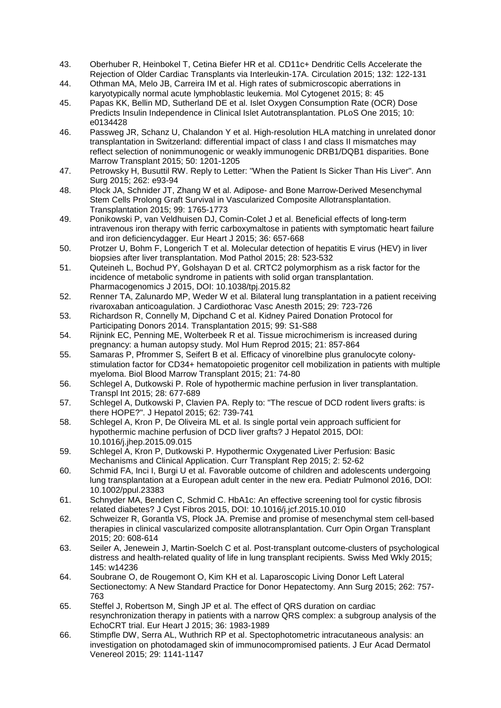- 43. Oberhuber R, Heinbokel T, Cetina Biefer HR et al. CD11c+ Dendritic Cells Accelerate the Rejection of Older Cardiac Transplants via Interleukin-17A. Circulation 2015; 132: 122-131
- 44. Othman MA, Melo JB, Carreira IM et al. High rates of submicroscopic aberrations in karyotypically normal acute lymphoblastic leukemia. Mol Cytogenet 2015; 8: 45
- 45. Papas KK, Bellin MD, Sutherland DE et al. Islet Oxygen Consumption Rate (OCR) Dose Predicts Insulin Independence in Clinical Islet Autotransplantation. PLoS One 2015; 10: e0134428
- 46. Passweg JR, Schanz U, Chalandon Y et al. High-resolution HLA matching in unrelated donor transplantation in Switzerland: differential impact of class I and class II mismatches may reflect selection of nonimmunogenic or weakly immunogenic DRB1/DQB1 disparities. Bone Marrow Transplant 2015; 50: 1201-1205
- 47. Petrowsky H, Busuttil RW. Reply to Letter: "When the Patient Is Sicker Than His Liver". Ann Surg 2015; 262: e93-94
- 48. Plock JA, Schnider JT, Zhang W et al. Adipose- and Bone Marrow-Derived Mesenchymal Stem Cells Prolong Graft Survival in Vascularized Composite Allotransplantation. Transplantation 2015; 99: 1765-1773
- 49. Ponikowski P, van Veldhuisen DJ, Comin-Colet J et al. Beneficial effects of long-term intravenous iron therapy with ferric carboxymaltose in patients with symptomatic heart failure and iron deficiencydagger. Eur Heart J 2015; 36: 657-668
- 50. Protzer U, Bohm F, Longerich T et al. Molecular detection of hepatitis E virus (HEV) in liver biopsies after liver transplantation. Mod Pathol 2015; 28: 523-532
- 51. Quteineh L, Bochud PY, Golshayan D et al. CRTC2 polymorphism as a risk factor for the incidence of metabolic syndrome in patients with solid organ transplantation. Pharmacogenomics J 2015, DOI: 10.1038/tpj.2015.82
- 52. Renner TA, Zalunardo MP, Weder W et al. Bilateral lung transplantation in a patient receiving rivaroxaban anticoagulation. J Cardiothorac Vasc Anesth 2015; 29: 723-726
- 53. Richardson R, Connelly M, Dipchand C et al. Kidney Paired Donation Protocol for Participating Donors 2014. Transplantation 2015; 99: S1-S88
- 54. Rijnink EC, Penning ME, Wolterbeek R et al. Tissue microchimerism is increased during pregnancy: a human autopsy study. Mol Hum Reprod 2015; 21: 857-864
- 55. Samaras P, Pfrommer S, Seifert B et al. Efficacy of vinorelbine plus granulocyte colonystimulation factor for CD34+ hematopoietic progenitor cell mobilization in patients with multiple myeloma. Biol Blood Marrow Transplant 2015; 21: 74-80
- 56. Schlegel A, Dutkowski P. Role of hypothermic machine perfusion in liver transplantation. Transpl Int 2015; 28: 677-689
- 57. Schlegel A, Dutkowski P, Clavien PA. Reply to: "The rescue of DCD rodent livers grafts: is there HOPE?". J Hepatol 2015; 62: 739-741
- 58. Schlegel A, Kron P, De Oliveira ML et al. Is single portal vein approach sufficient for hypothermic machine perfusion of DCD liver grafts? J Hepatol 2015, DOI: 10.1016/j.jhep.2015.09.015
- 59. Schlegel A, Kron P, Dutkowski P. Hypothermic Oxygenated Liver Perfusion: Basic Mechanisms and Clinical Application. Curr Transplant Rep 2015; 2: 52-62
- 60. Schmid FA, Inci I, Burgi U et al. Favorable outcome of children and adolescents undergoing lung transplantation at a European adult center in the new era. Pediatr Pulmonol 2016, DOI: 10.1002/ppul.23383
- 61. Schnyder MA, Benden C, Schmid C. HbA1c: An effective screening tool for cystic fibrosis related diabetes? J Cyst Fibros 2015, DOI: 10.1016/j.jcf.2015.10.010
- 62. Schweizer R, Gorantla VS, Plock JA. Premise and promise of mesenchymal stem cell-based therapies in clinical vascularized composite allotransplantation. Curr Opin Organ Transplant 2015; 20: 608-614
- 63. Seiler A, Jenewein J, Martin-Soelch C et al. Post-transplant outcome-clusters of psychological distress and health-related quality of life in lung transplant recipients. Swiss Med Wkly 2015; 145: w14236
- 64. Soubrane O, de Rougemont O, Kim KH et al. Laparoscopic Living Donor Left Lateral Sectionectomy: A New Standard Practice for Donor Hepatectomy. Ann Surg 2015; 262: 757- 763
- 65. Steffel J, Robertson M, Singh JP et al. The effect of QRS duration on cardiac resynchronization therapy in patients with a narrow QRS complex: a subgroup analysis of the EchoCRT trial. Eur Heart J 2015; 36: 1983-1989
- 66. Stimpfle DW, Serra AL, Wuthrich RP et al. Spectophotometric intracutaneous analysis: an investigation on photodamaged skin of immunocompromised patients. J Eur Acad Dermatol Venereol 2015; 29: 1141-1147